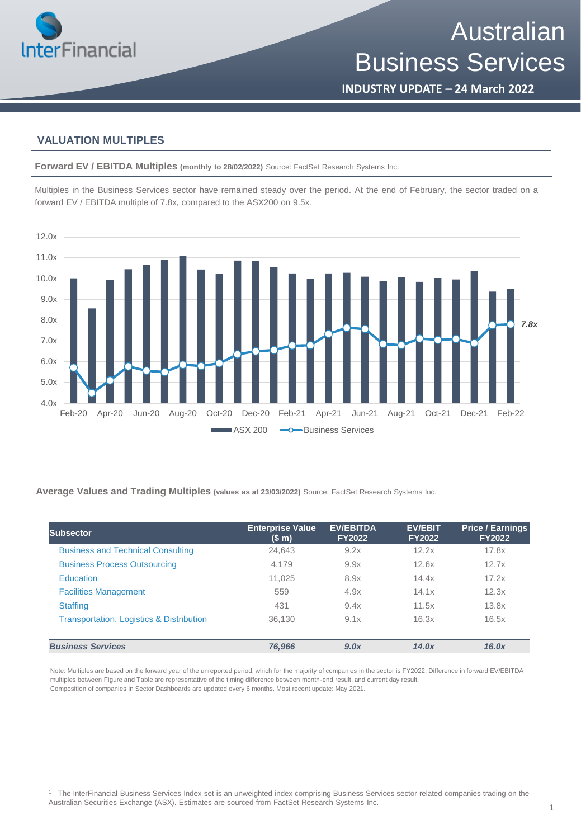

**INDUSTRY UPDATE – 24 March 2022**

### **VALUATION MULTIPLES**

**Forward EV / EBITDA Multiples (monthly to 28/02/2022)** Source: FactSet Research Systems Inc.

Multiples in the Business Services sector have remained steady over the period. At the end of February, the sector traded on a forward EV / EBITDA multiple of 7.8x, compared to the ASX200 on 9.5x.



**Average Values and Trading Multiples (values as at 23/03/2022)** Source: FactSet Research Systems Inc.

| Subsector                                | <b>Enterprise Value</b><br>(\$m) | <b>EV/EBITDA</b><br><b>FY2022</b> | <b>EV/EBIT</b><br><b>FY2022</b> | <b>Price / Earnings</b><br><b>FY2022</b> |
|------------------------------------------|----------------------------------|-----------------------------------|---------------------------------|------------------------------------------|
| <b>Business and Technical Consulting</b> | 24.643                           | 9.2x                              | 12.2x                           | 17.8x                                    |
| <b>Business Process Outsourcing</b>      | 4.179                            | 9.9x                              | 12.6x                           | 12.7x                                    |
| <b>Education</b>                         | 11.025                           | 8.9x                              | 14.4x                           | 17.2x                                    |
| <b>Facilities Management</b>             | 559                              | 4.9x                              | 14.1x                           | 12.3x                                    |
| <b>Staffing</b>                          | 431                              | 9.4x                              | 11.5x                           | 13.8x                                    |
| Transportation, Logistics & Distribution | 36.130                           | 9.1x                              | 16.3x                           | 16.5x                                    |
| <b>Business Services</b>                 | 76.966                           | 9.0x                              | 14.0x                           | 16.0x                                    |

Note: Multiples are based on the forward year of the unreported period, which for the majority of companies in the sector is FY2022. Difference in forward EV/EBITDA multiples between Figure and Table are representative of the timing difference between month-end result, and current day result. Composition of companies in Sector Dashboards are updated every 6 months. Most recent update: May 2021.

<sup>1</sup> The InterFinancial Business Services Index set is an unweighted index comprising Business Services sector related companies trading on the Australian Securities Exchange (ASX). Estimates are sourced from FactSet Research Systems Inc.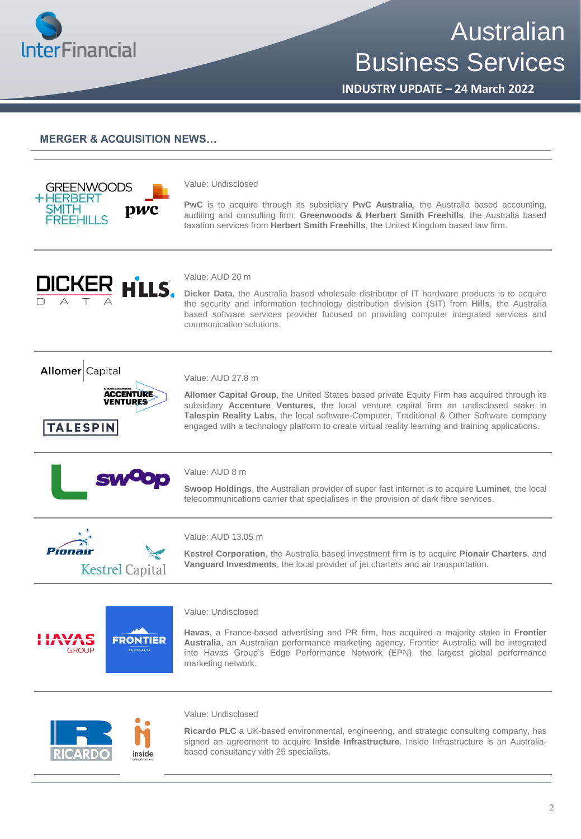

# Australian Business Services

**INDUSTRY UPDATE – 24 March 2022**

## **MERGER & ACQUISITION NEWS…**



Value: Undisclosed

**PwC** is to acquire through its subsidiary **PwC Australia**, the Australia based accounting, auditing and consulting firm, **Greenwoods & Herbert Smith Freehills**, the Australia based taxation services from **Herbert Smith Freehills**, the United Kingdom based law firm.



#### Value: AUD 20 m

**Dicker Data,** the Australia based wholesale distributor of IT hardware products is to acquire the security and information technology distribution division (SIT) from **Hills**, the Australia based software services provider focused on providing computer integrated services and communication solutions.





**TALESPIN** 



# Value: AUD 27.8 m

**Allomer Capital Group**, the United States based private Equity Firm has acquired through its subsidiary **Accenture Ventures**, the local venture capital firm an undisclosed stake in **Talespin Reality Labs**, the local software-Computer, Traditional & Other Software company engaged with a technology platform to create virtual reality learning and training applications.

#### Value: AUD 8 m

**Swoop Holdings**, the Australian provider of super fast internet is to acquire **Luminet**, the local telecommunications carrier that specialises in the provision of dark fibre services.



#### Value: AUD 13.05 m

**Kestrel Corporation**, the Australia based investment firm is to acquire **Pionair Charters**, and **Vanguard Investments**, the local provider of jet charters and air transportation.

**FRONTIER** USTRALIA

#### Value: Undisclosed

**Havas,** a France-based advertising and PR firm, has acquired a majority stake in **Frontier Australia**, an Australian performance marketing agency. Frontier Australia will be integrated into Havas Group's Edge Performance Network (EPN), the largest global performance marketing network.



Value: Undisclosed

**Ricardo PLC** a UK-based environmental, engineering, and strategic consulting company, has signed an agreement to acquire **Inside Infrastructure**. Inside Infrastructure is an Australiabased consultancy with 25 specialists.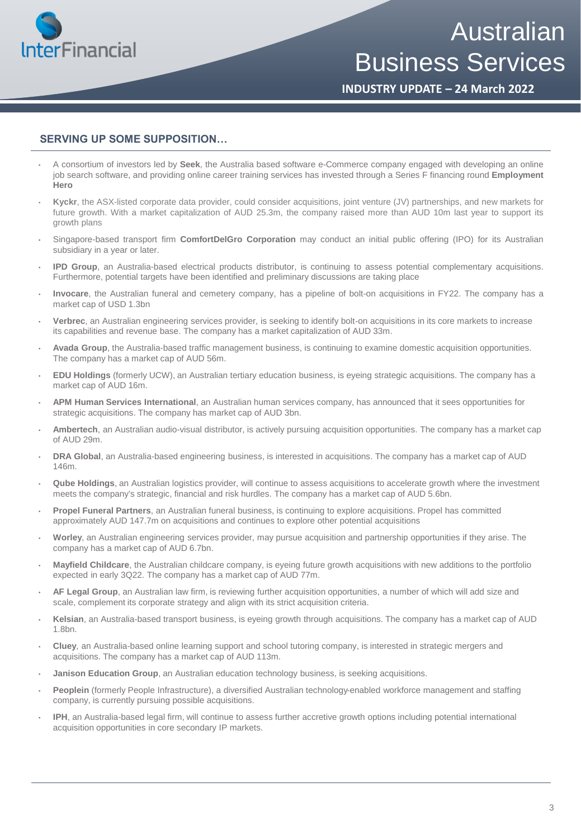

**Australian** Business Services

**INDUSTRY UPDATE – 24 March 2022**

# **SERVING UP SOME SUPPOSITION…**

- A consortium of investors led by **Seek**, the Australia based software e-Commerce company engaged with developing an online job search software, and providing online career training services has invested through a Series F financing round **Employment Hero**
- **Kyckr**, the ASX-listed corporate data provider, could consider acquisitions, joint venture (JV) partnerships, and new markets for future growth. With a market capitalization of AUD 25.3m, the company raised more than AUD 10m last year to support its growth plans
- Singapore-based transport firm **ComfortDelGro Corporation** may conduct an initial public offering (IPO) for its Australian subsidiary in a year or later.
- **IPD Group**, an Australia-based electrical products distributor, is continuing to assess potential complementary acquisitions. Furthermore, potential targets have been identified and preliminary discussions are taking place
- **Invocare**, the Australian funeral and cemetery company, has a pipeline of bolt-on acquisitions in FY22. The company has a market cap of USD 1.3bn
- **Verbrec**, an Australian engineering services provider, is seeking to identify bolt-on acquisitions in its core markets to increase its capabilities and revenue base. The company has a market capitalization of AUD 33m.
- **Avada Group**, the Australia-based traffic management business, is continuing to examine domestic acquisition opportunities. The company has a market cap of AUD 56m.
- **EDU Holdings** (formerly UCW), an Australian tertiary education business, is eyeing strategic acquisitions. The company has a market cap of AUD 16m.
- **APM Human Services International**, an Australian human services company, has announced that it sees opportunities for strategic acquisitions. The company has market cap of AUD 3bn.
- **Ambertech**, an Australian audio-visual distributor, is actively pursuing acquisition opportunities. The company has a market cap of AUD 29m.
- **DRA Global**, an Australia-based engineering business, is interested in acquisitions. The company has a market cap of AUD 146m.
- **Qube Holdings**, an Australian logistics provider, will continue to assess acquisitions to accelerate growth where the investment meets the company's strategic, financial and risk hurdles. The company has a market cap of AUD 5.6bn.
- **Propel Funeral Partners**, an Australian funeral business, is continuing to explore acquisitions. Propel has committed approximately AUD 147.7m on acquisitions and continues to explore other potential acquisitions
- **Worley**, an Australian engineering services provider, may pursue acquisition and partnership opportunities if they arise. The company has a market cap of AUD 6.7bn.
- **Mayfield Childcare**, the Australian childcare company, is eyeing future growth acquisitions with new additions to the portfolio expected in early 3Q22. The company has a market cap of AUD 77m.
- **AF Legal Group**, an Australian law firm, is reviewing further acquisition opportunities, a number of which will add size and scale, complement its corporate strategy and align with its strict acquisition criteria.
- **Kelsian**, an Australia-based transport business, is eyeing growth through acquisitions. The company has a market cap of AUD 1.8bn.
- **Cluey**, an Australia-based online learning support and school tutoring company, is interested in strategic mergers and acquisitions. The company has a market cap of AUD 113m.
- **Janison Education Group**, an Australian education technology business, is seeking acquisitions.
- **Peoplein** (formerly People Infrastructure), a diversified Australian technology-enabled workforce management and staffing company, is currently pursuing possible acquisitions.
- **IPH**, an Australia-based legal firm, will continue to assess further accretive growth options including potential international acquisition opportunities in core secondary IP markets.